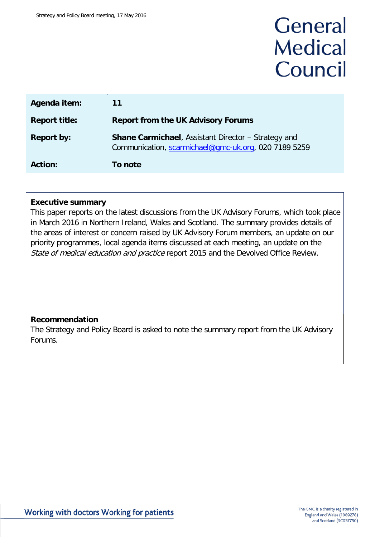# General **Medical** Council

| Agenda item:         | 11                                                                                                                 |
|----------------------|--------------------------------------------------------------------------------------------------------------------|
| <b>Report title:</b> | <b>Report from the UK Advisory Forums</b>                                                                          |
| <b>Report by:</b>    | <b>Shane Carmichael, Assistant Director - Strategy and</b><br>Communication, scarmichael@gmc-uk.org, 020 7189 5259 |
| <b>Action:</b>       | To note                                                                                                            |

## **Executive summary**

This paper reports on the latest discussions from the UK Advisory Forums, which took place in March 2016 in Northern Ireland, Wales and Scotland. The summary provides details of the areas of interest or concern raised by UK Advisory Forum members, an update on our priority programmes, local agenda items discussed at each meeting, an update on the State of medical education and practice report 2015 and the Devolved Office Review.

# **Recommendation**

The Strategy and Policy Board is asked to note the summary report from the UK Advisory Forums.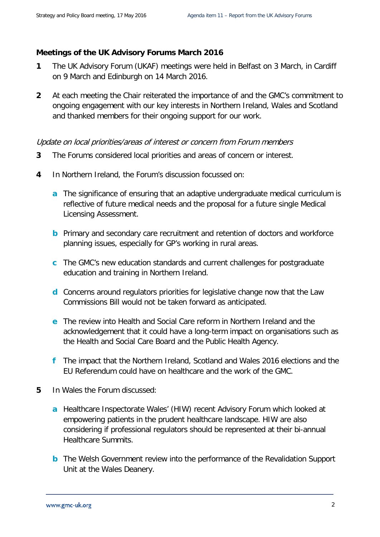### **Meetings of the UK Advisory Forums March 2016**

- **1** The UK Advisory Forum (UKAF) meetings were held in Belfast on 3 March, in Cardiff on 9 March and Edinburgh on 14 March 2016.
- **2** At each meeting the Chair reiterated the importance of and the GMC's commitment to ongoing engagement with our key interests in Northern Ireland, Wales and Scotland and thanked members for their ongoing support for our work.

#### Update on local priorities/areas of interest or concern from Forum members

- **3** The Forums considered local priorities and areas of concern or interest.
- **4** In Northern Ireland, the Forum's discussion focussed on:
	- **a** The significance of ensuring that an adaptive undergraduate medical curriculum is reflective of future medical needs and the proposal for a future single Medical Licensing Assessment.
	- **b** Primary and secondary care recruitment and retention of doctors and workforce planning issues, especially for GP's working in rural areas.
	- **c** The GMC's new education standards and current challenges for postgraduate education and training in Northern Ireland.
	- **d** Concerns around regulators priorities for legislative change now that the Law Commissions Bill would not be taken forward as anticipated.
	- **e** The review into Health and Social Care reform in Northern Ireland and the acknowledgement that it could have a long-term impact on organisations such as the Health and Social Care Board and the Public Health Agency.
	- **f** The impact that the Northern Ireland, Scotland and Wales 2016 elections and the EU Referendum could have on healthcare and the work of the GMC.
- **5** In Wales the Forum discussed:
	- **a** Healthcare Inspectorate Wales' (HIW) recent Advisory Forum which looked at empowering patients in the prudent healthcare landscape. HIW are also considering if professional regulators should be represented at their bi-annual Healthcare Summits.
	- **b** The Welsh Government review into the performance of the Revalidation Support Unit at the Wales Deanery.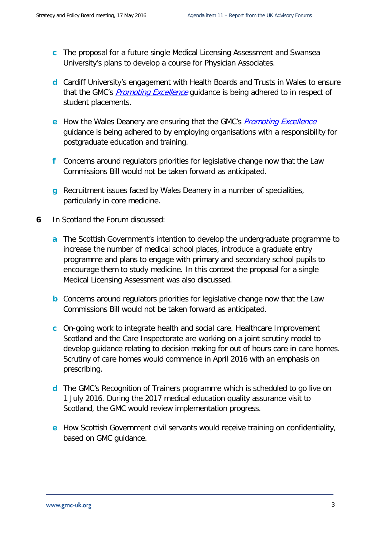- **c** The proposal for a future single Medical Licensing Assessment and Swansea University's plans to develop a course for Physician Associates.
- **d** Cardiff University's engagement with Health Boards and Trusts in Wales to ensure that the GMC's *[Promoting Excellence](http://livelink/edrms/llisapi.dll?func=ll&objId=65146294&objAction=viewheader)* guidance is being adhered to in respect of student placements.
- **e** How the Wales Deanery are ensuring that the GMC's *[Promoting Excellence](http://livelink/edrms/llisapi.dll?func=ll&objId=65146294&objAction=viewheader)* guidance is being adhered to by employing organisations with a responsibility for postgraduate education and training.
- **f** Concerns around regulators priorities for legislative change now that the Law Commissions Bill would not be taken forward as anticipated.
- **g** Recruitment issues faced by Wales Deanery in a number of specialities, particularly in core medicine.
- **6** In Scotland the Forum discussed:
	- **a** The Scottish Government's intention to develop the undergraduate programme to increase the number of medical school places, introduce a graduate entry programme and plans to engage with primary and secondary school pupils to encourage them to study medicine. In this context the proposal for a single Medical Licensing Assessment was also discussed.
	- **b** Concerns around regulators priorities for legislative change now that the Law Commissions Bill would not be taken forward as anticipated.
	- **c** On-going work to integrate health and social care. Healthcare Improvement Scotland and the Care Inspectorate are working on a joint scrutiny model to develop guidance relating to decision making for out of hours care in care homes. Scrutiny of care homes would commence in April 2016 with an emphasis on prescribing.
	- **d** The GMC's Recognition of Trainers programme which is scheduled to go live on 1 July 2016. During the 2017 medical education quality assurance visit to Scotland, the GMC would review implementation progress.
	- **e** How Scottish Government civil servants would receive training on confidentiality, based on GMC guidance.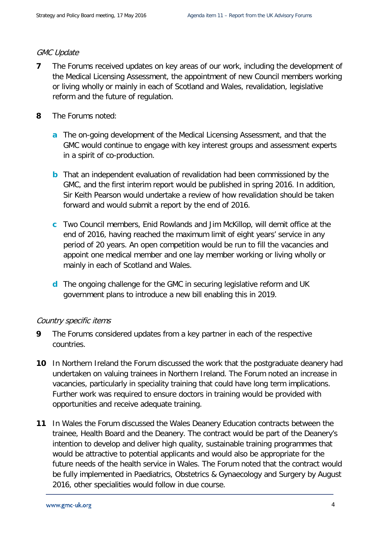#### GMC Update

- **7** The Forums received updates on key areas of our work, including the development of the Medical Licensing Assessment, the appointment of new Council members working or living wholly or mainly in each of Scotland and Wales, revalidation, legislative reform and the future of regulation.
- **8** The Forums noted:
	- **a** The on-going development of the Medical Licensing Assessment, and that the GMC would continue to engage with key interest groups and assessment experts in a spirit of co-production.
	- **b** That an independent evaluation of revalidation had been commissioned by the GMC, and the first interim report would be published in spring 2016. In addition, Sir Keith Pearson would undertake a review of how revalidation should be taken forward and would submit a report by the end of 2016.
	- **c** Two Council members, Enid Rowlands and Jim McKillop, will demit office at the end of 2016, having reached the maximum limit of eight years' service in any period of 20 years. An open competition would be run to fill the vacancies and appoint one medical member and one lay member working or living wholly or mainly in each of Scotland and Wales.
	- **d** The ongoing challenge for the GMC in securing legislative reform and UK government plans to introduce a new bill enabling this in 2019.

#### Country specific items

- **9** The Forums considered updates from a key partner in each of the respective countries.
- **10** In Northern Ireland the Forum discussed the work that the postgraduate deanery had undertaken on valuing trainees in Northern Ireland. The Forum noted an increase in vacancies, particularly in speciality training that could have long term implications. Further work was required to ensure doctors in training would be provided with opportunities and receive adequate training.
- **11** In Wales the Forum discussed the Wales Deanery Education contracts between the trainee, Health Board and the Deanery. The contract would be part of the Deanery's intention to develop and deliver high quality, sustainable training programmes that would be attractive to potential applicants and would also be appropriate for the future needs of the health service in Wales. The Forum noted that the contract would be fully implemented in Paediatrics, Obstetrics & Gynaecology and Surgery by August 2016, other specialities would follow in due course.